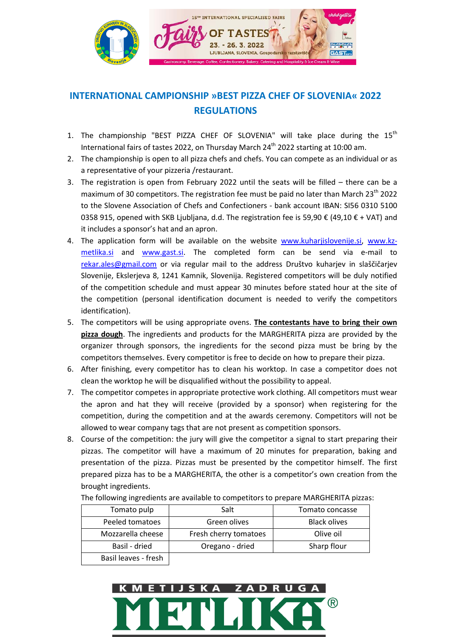

## **INTERNATIONAL CAMPIONSHIP »BEST PIZZA CHEF OF SLOVENIA« 2022 REGULATIONS**

- 1. The championship "BEST PIZZA CHEF OF SLOVENIA" will take place during the  $15<sup>th</sup>$ International fairs of tastes 2022, on Thursday March 24<sup>th</sup> 2022 starting at 10:00 am.
- 2. The championship is open to all pizza chefs and chefs. You can compete as an individual or as a representative of your pizzeria /restaurant.
- 3. The registration is open from February 2022 until the seats will be filled there can be a maximum of 30 competitors. The registration fee must be paid no later than March 23<sup>th</sup> 2022 to the Slovene Association of Chefs and Confectioners - bank account IBAN: SI56 0310 5100 0358 915, opened with SKB Ljubljana, d.d. The registration fee is 59,90 € (49,10 € + VAT) and it includes a sponsor's hat and an apron.
- 4. The application form will be available on the website [www.kuharjislovenije.si,](http://www.kuharjislovenije.si/) [www.kz](http://www.kz-metlika.si/)[metlika.si](http://www.kz-metlika.si/) and [www.gast.si.](http://www.gast.si/) The completed form can be send via e-mail to [rekar.ales@gmail.com](file:///C:/Users/Stas%20Zorzo/Downloads/rekar.ales@gmail.com) or via regular mail to the address Društvo kuharjev in slaščičarjev Slovenije, Ekslerjeva 8, 1241 Kamnik, Slovenija. Registered competitors will be duly notified of the competition schedule and must appear 30 minutes before stated hour at the site of the competition (personal identification document is needed to verify the competitors identification).
- 5. The competitors will be using appropriate ovens. **The contestants have to bring their own pizza dough**. The ingredients and products for the MARGHERITA pizza are provided by the organizer through sponsors, the ingredients for the second pizza must be bring by the competitors themselves. Every competitor is free to decide on how to prepare their pizza.
- 6. After finishing, every competitor has to clean his worktop. In case a competitor does not clean the worktop he will be disqualified without the possibility to appeal.
- 7. The competitor competes in appropriate protective work clothing. All competitors must wear the apron and hat they will receive (provided by a sponsor) when registering for the competition, during the competition and at the awards ceremony. Competitors will not be allowed to wear company tags that are not present as competition sponsors.
- 8. Course of the competition: the jury will give the competitor a signal to start preparing their pizzas. The competitor will have a maximum of 20 minutes for preparation, baking and presentation of the pizza. Pizzas must be presented by the competitor himself. The first prepared pizza has to be a MARGHERITA, the other is a competitor's own creation from the brought ingredients.

| Tomato pulp          | Salt                  | Tomato concasse     |
|----------------------|-----------------------|---------------------|
| Peeled tomatoes      | Green olives          | <b>Black olives</b> |
| Mozzarella cheese    | Fresh cherry tomatoes | Olive oil           |
| Basil - dried        | Oregano - dried       | Sharp flour         |
| Basil leaves - fresh |                       |                     |

The following ingredients are available to competitors to prepare MARGHERITA pizzas:

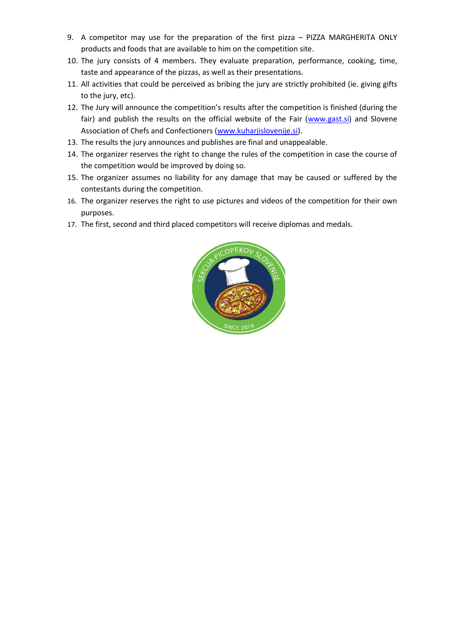- 9. A competitor may use for the preparation of the first pizza PIZZA MARGHERITA ONLY products and foods that are available to him on the competition site.
- 10. The jury consists of 4 members. They evaluate preparation, performance, cooking, time, taste and appearance of the pizzas, as well as their presentations.
- 11. All activities that could be perceived as bribing the jury are strictly prohibited (ie. giving gifts to the jury, etc).
- 12. The Jury will announce the competition's results after the competition is finished (during the fair) and publish the results on the official website of the Fair [\(www.gast.si\)](http://www.gast.si/) and Slovene Association of Chefs and Confectioners [\(www.kuharjislovenije.si\)](http://www.kuharjislovenije.si/).
- 13. The results the jury announces and publishes are final and unappealable.
- 14. The organizer reserves the right to change the rules of the competition in case the course of the competition would be improved by doing so.
- 15. The organizer assumes no liability for any damage that may be caused or suffered by the contestants during the competition.
- 16. The organizer reserves the right to use pictures and videos of the competition for their own purposes.
- 17. The first, second and third placed competitors will receive diplomas and medals.